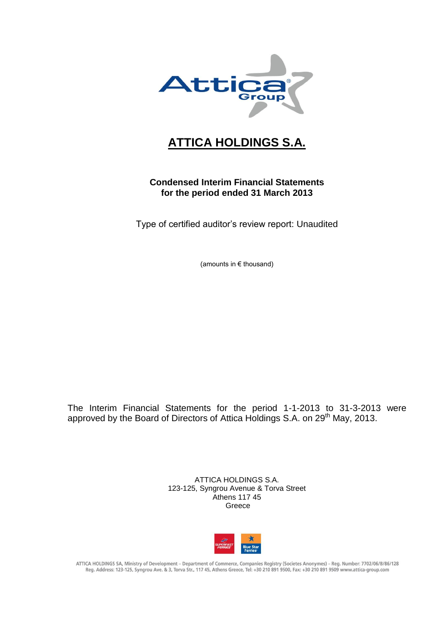

## **ATTICA HOLDINGS S.A.**

## **Condensed Interim Financial Statements for the period ended 31 March 2013**

Type of certified auditor's review report: Unaudited

(amounts in € thousand)

The Interim Financial Statements for the period 1-1-2013 to 31-3-2013 were approved by the Board of Directors of Attica Holdings S.A. on 29<sup>th</sup> May, 2013.

> ATTICA HOLDINGS S.A. 123-125, Syngrou Avenue & Torva Street Athens 117 45 Greece



ATTICA HOLDINGS SA, Ministry of Development - Department of Commerce, Companies Registry (Societes Anonymes) - Reg. Number: 7702/06/B/86/128 Reg. Address: 123-125, Syngrou Ave. & 3, Torva Str., 117 45, Athens Greece, Tel: +30 210 891 9500, Fax: +30 210 891 9509 www.attica-group.com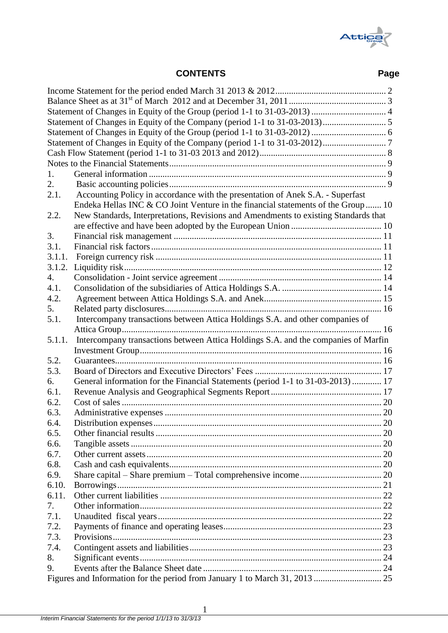

# **CONTENTS Page**

| 1.     |                                                                                     |  |
|--------|-------------------------------------------------------------------------------------|--|
| 2.     |                                                                                     |  |
| 2.1.   | Accounting Policy in accordance with the presentation of Anek S.A. - Superfast      |  |
|        | Endeka Hellas INC & CO Joint Venture in the financial statements of the Group 10    |  |
| 2.2.   | New Standards, Interpretations, Revisions and Amendments to existing Standards that |  |
|        |                                                                                     |  |
| 3.     |                                                                                     |  |
| 3.1.   |                                                                                     |  |
| 3.1.1. |                                                                                     |  |
| 3.1.2. |                                                                                     |  |
| 4.     |                                                                                     |  |
| 4.1.   |                                                                                     |  |
| 4.2.   |                                                                                     |  |
| 5.     |                                                                                     |  |
| 5.1.   |                                                                                     |  |
|        | Intercompany transactions between Attica Holdings S.A. and other companies of       |  |
| 5.1.1. | Intercompany transactions between Attica Holdings S.A. and the companies of Marfin  |  |
|        |                                                                                     |  |
| 5.2.   |                                                                                     |  |
| 5.3.   |                                                                                     |  |
|        |                                                                                     |  |
| 6.     | General information for the Financial Statements (period 1-1 to 31-03-2013)  17     |  |
| 6.1.   |                                                                                     |  |
| 6.2.   |                                                                                     |  |
| 6.3.   |                                                                                     |  |
| 6.4.   |                                                                                     |  |
| 6.5.   |                                                                                     |  |
| 6.6.   |                                                                                     |  |
| 6.7.   |                                                                                     |  |
| 6.8.   |                                                                                     |  |
| 6.9.   |                                                                                     |  |
| 6.10.  |                                                                                     |  |
| 6.11.  |                                                                                     |  |
| 7.     |                                                                                     |  |
| 7.1.   |                                                                                     |  |
| 7.2.   |                                                                                     |  |
| 7.3.   |                                                                                     |  |
| 7.4.   |                                                                                     |  |
| 8.     |                                                                                     |  |
| 9.     |                                                                                     |  |
|        |                                                                                     |  |

1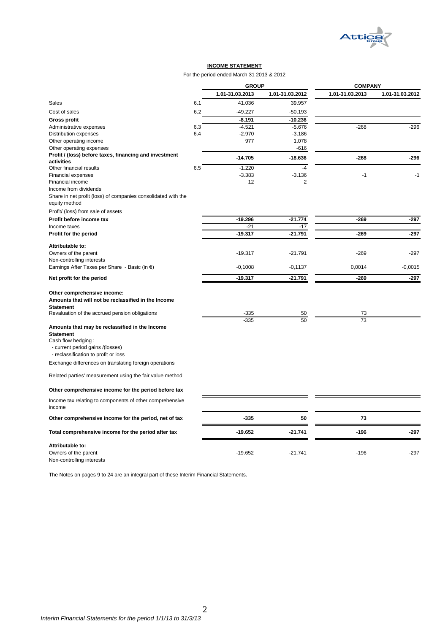

#### **INCOME STATEMENT**

#### For the period ended March 31 2013 & 2012

|                                                                                                |     | <b>GROUP</b>         |                 | <b>COMPANY</b>  |                 |
|------------------------------------------------------------------------------------------------|-----|----------------------|-----------------|-----------------|-----------------|
|                                                                                                |     | 1.01-31.03.2013      | 1.01-31.03.2012 | 1.01-31.03.2013 | 1.01-31.03.2012 |
| Sales                                                                                          | 6.1 | 41.036               | 39.957          |                 |                 |
| Cost of sales                                                                                  | 6.2 | $-49.227$            | -50.193         |                 |                 |
| <b>Gross profit</b>                                                                            |     | -8.191               | -10.236         |                 |                 |
| Administrative expenses                                                                        | 6.3 | $-4.521$             | $-5.676$        | $-268$          | $-296$          |
| Distribution expenses                                                                          | 6.4 | $-2.970$             | $-3.186$        |                 |                 |
| Other operating income                                                                         |     | 977                  | 1.078           |                 |                 |
| Other operating expenses                                                                       |     |                      | $-616$          |                 |                 |
| Profit / (loss) before taxes, financing and investment                                         |     | $-14.705$            | $-18.636$       | $-268$          | $-296$          |
| activities                                                                                     |     |                      | $-4$            |                 |                 |
| Other financial results                                                                        | 6.5 | $-1.220$<br>$-3.383$ | $-3.136$        | $-1$            | $-1$            |
| <b>Financial expenses</b><br>Financial income                                                  |     | 12                   | $\overline{2}$  |                 |                 |
| Income from dividends                                                                          |     |                      |                 |                 |                 |
| Share in net profit (loss) of companies consolidated with the                                  |     |                      |                 |                 |                 |
| equity method                                                                                  |     |                      |                 |                 |                 |
| Profit/ (loss) from sale of assets                                                             |     |                      |                 |                 |                 |
| Profit before income tax                                                                       |     | $-19.296$            | $-21.774$       | $-269$          | $-297$          |
| Income taxes                                                                                   |     | $-21$                | $-17$           |                 |                 |
| Profit for the period                                                                          |     | $-19.317$            | -21.791         | $-269$          | -297            |
|                                                                                                |     |                      |                 |                 |                 |
| Attributable to:                                                                               |     |                      |                 |                 |                 |
| Owners of the parent                                                                           |     | $-19.317$            | $-21.791$       | $-269$          | $-297$          |
| Non-controlling interests                                                                      |     |                      |                 |                 |                 |
| Earnings After Taxes per Share - Basic (in $\epsilon$ )                                        |     | $-0,1008$            | $-0,1137$       | 0,0014          | $-0,0015$       |
| Net profit for the period                                                                      |     | $-19.317$            | $-21.791$       | $-269$          | $-297$          |
| Other comprehensive income:<br>Amounts that will not be reclassified in the Income             |     |                      |                 |                 |                 |
| <b>Statement</b>                                                                               |     |                      |                 |                 |                 |
| Revaluation of the accrued pension obligations                                                 |     | -335                 | 50              | 73              |                 |
| Amounts that may be reclassified in the Income<br><b>Statement</b>                             |     | $-335$               | 50              | 73              |                 |
| Cash flow hedging:<br>- current period gains /(losses)<br>- reclassification to profit or loss |     |                      |                 |                 |                 |
| Exchange differences on translating foreign operations                                         |     |                      |                 |                 |                 |
| Related parties' measurement using the fair value method                                       |     |                      |                 |                 |                 |
| Other comprehensive income for the period before tax                                           |     |                      |                 |                 |                 |
| Income tax relating to components of other comprehensive<br>income                             |     |                      |                 |                 |                 |
| Other comprehensive income for the period, net of tax                                          |     | $-335$               | 50              | 73              |                 |
| Total comprehensive income for the period after tax                                            |     | $-19.652$            | $-21.741$       | $-196$          | $-297$          |
| Attributable to:                                                                               |     |                      |                 |                 |                 |
| Owners of the parent<br>Non-controlling interests                                              |     | $-19.652$            | $-21.741$       | $-196$          | $-297$          |

<span id="page-2-0"></span>The Notes on pages 9 to 24 are an integral part of these Interim Financial Statements.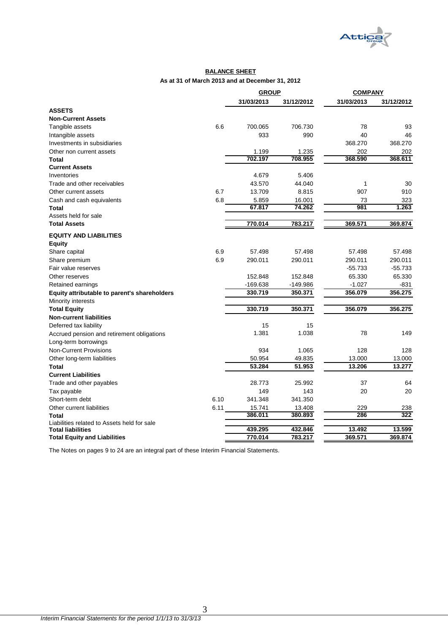

#### **BALANCE SHEET As at 31 of March 2013 and at December 31, 2012**

|                                              |      | <b>GROUP</b> |            | <b>COMPANY</b> |            |
|----------------------------------------------|------|--------------|------------|----------------|------------|
|                                              |      | 31/03/2013   | 31/12/2012 | 31/03/2013     | 31/12/2012 |
| <b>ASSETS</b>                                |      |              |            |                |            |
| <b>Non-Current Assets</b>                    |      |              |            |                |            |
| Tangible assets                              | 6.6  | 700.065      | 706.730    | 78             | 93         |
| Intangible assets                            |      | 933          | 990        | 40             | 46         |
| Investments in subsidiaries                  |      |              |            | 368.270        | 368.270    |
| Other non current assets                     |      | 1.199        | 1.235      | 202            | 202        |
| Total                                        |      | 702.197      | 708.955    | 368.590        | 368.611    |
| <b>Current Assets</b>                        |      |              |            |                |            |
| Inventories                                  |      | 4.679        | 5.406      |                |            |
| Trade and other receivables                  |      | 43.570       | 44.040     | 1              | 30         |
| Other current assets                         | 6.7  | 13.709       | 8.815      | 907            | 910        |
| Cash and cash equivalents                    | 6.8  | 5.859        | 16.001     | 73             | 323        |
| <b>Total</b>                                 |      | 67.817       | 74.262     | 981            | 1.263      |
| Assets held for sale                         |      |              |            |                |            |
| <b>Total Assets</b>                          |      | 770.014      | 783.217    | 369.571        | 369.874    |
| <b>EQUITY AND LIABILITIES</b>                |      |              |            |                |            |
| <b>Equity</b>                                |      |              |            |                |            |
| Share capital                                | 6.9  | 57.498       | 57.498     | 57.498         | 57.498     |
| Share premium                                | 6.9  | 290.011      | 290.011    | 290.011        | 290.011    |
| Fair value reserves                          |      |              |            | $-55.733$      | $-55.733$  |
| Other reserves                               |      | 152.848      | 152.848    | 65.330         | 65.330     |
| Retained earnings                            |      | -169.638     | -149.986   | $-1.027$       | -831       |
| Equity attributable to parent's shareholders |      | 330.719      | 350.371    | 356.079        | 356.275    |
| Minority interests                           |      |              |            |                |            |
| <b>Total Equity</b>                          |      | 330.719      | 350.371    | 356.079        | 356.275    |
| <b>Non-current liabilities</b>               |      |              |            |                |            |
| Deferred tax liability                       |      | 15           | 15         |                |            |
| Accrued pension and retirement obligations   |      | 1.381        | 1.038      | 78             | 149        |
| Long-term borrowings                         |      |              |            |                |            |
| <b>Non-Current Provisions</b>                |      | 934          | 1.065      | 128            | 128        |
| Other long-term liabilities                  |      | 50.954       | 49.835     | 13.000         | 13.000     |
| <b>Total</b>                                 |      | 53.284       | 51.953     | 13.206         | 13.277     |
| <b>Current Liabilities</b>                   |      |              |            |                |            |
| Trade and other payables                     |      | 28.773       | 25.992     | 37             | 64         |
| Tax payable                                  |      | 149          | 143        | 20             | 20         |
| Short-term debt                              | 6.10 | 341.348      | 341.350    |                |            |
| Other current liabilities                    | 6.11 | 15.741       | 13.408     | 229            | 238        |
| <b>Total</b>                                 |      | 386.011      | 380.893    | 286            | 322        |
| Liabilities related to Assets held for sale  |      |              |            |                |            |
| <b>Total liabilities</b>                     |      | 439.295      | 432.846    | 13.492         | 13.599     |
| <b>Total Equity and Liabilities</b>          |      | 770.014      | 783.217    | 369.571        | 369.874    |

<span id="page-3-0"></span>The Notes on pages 9 to 24 are an integral part of these Interim Financial Statements.

3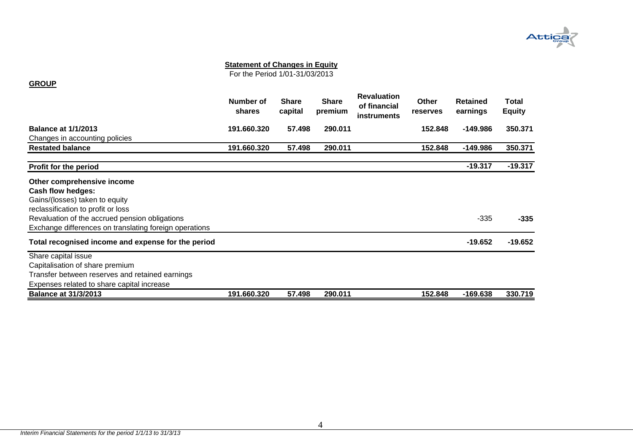

For the Period 1/01-31/03/2013

#### **GROUP**

<span id="page-4-0"></span>

|                                                        | Number of<br>shares | <b>Share</b><br>capital | <b>Share</b><br>premium | <b>Revaluation</b><br>of financial<br><b>instruments</b> | Other<br>reserves | <b>Retained</b><br>earnings | Total<br><b>Equity</b> |
|--------------------------------------------------------|---------------------|-------------------------|-------------------------|----------------------------------------------------------|-------------------|-----------------------------|------------------------|
| <b>Balance at 1/1/2013</b>                             | 191.660.320         | 57.498                  | 290.011                 |                                                          | 152.848           | -149.986                    | 350.371                |
| Changes in accounting policies                         |                     |                         |                         |                                                          |                   |                             |                        |
| <b>Restated balance</b>                                | 191.660.320         | 57.498                  | 290.011                 |                                                          | 152.848           | -149.986                    | 350.371                |
| Profit for the period                                  |                     |                         |                         |                                                          |                   | $-19.317$                   | $-19.317$              |
| Other comprehensive income                             |                     |                         |                         |                                                          |                   |                             |                        |
| Cash flow hedges:                                      |                     |                         |                         |                                                          |                   |                             |                        |
| Gains/(losses) taken to equity                         |                     |                         |                         |                                                          |                   |                             |                        |
| reclassification to profit or loss                     |                     |                         |                         |                                                          |                   |                             |                        |
| Revaluation of the accrued pension obligations         |                     |                         |                         |                                                          |                   | $-335$                      | $-335$                 |
| Exchange differences on translating foreign operations |                     |                         |                         |                                                          |                   |                             |                        |
| Total recognised income and expense for the period     |                     |                         |                         |                                                          |                   | $-19.652$                   | $-19.652$              |
| Share capital issue                                    |                     |                         |                         |                                                          |                   |                             |                        |
| Capitalisation of share premium                        |                     |                         |                         |                                                          |                   |                             |                        |
| Transfer between reserves and retained earnings        |                     |                         |                         |                                                          |                   |                             |                        |
| Expenses related to share capital increase             |                     |                         |                         |                                                          |                   |                             |                        |
| <b>Balance at 31/3/2013</b>                            | 191.660.320         | 57.498                  | 290.011                 |                                                          | 152.848           | -169.638                    | 330.719                |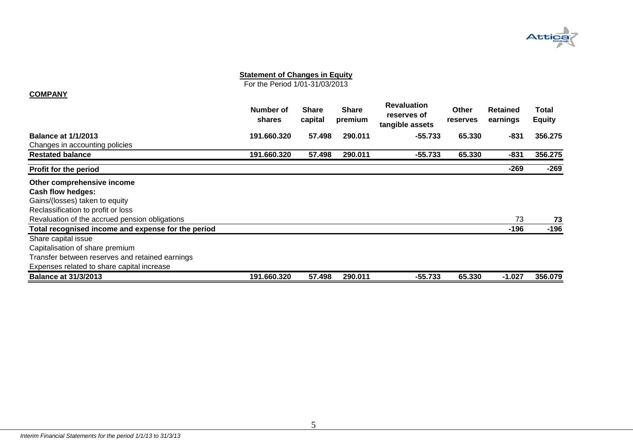

For the Period 1/01-31/03/2013

#### **COMPANY**

<span id="page-5-0"></span>

|                                                    | Number of<br><b>shares</b> | <b>Share</b><br>capital | <b>Share</b><br>premium | <b>Revaluation</b><br>reserves of<br>tangible assets | <b>Other</b><br>reserves | <b>Retained</b><br>earnings | Total<br><b>Equity</b> |
|----------------------------------------------------|----------------------------|-------------------------|-------------------------|------------------------------------------------------|--------------------------|-----------------------------|------------------------|
| <b>Balance at 1/1/2013</b>                         | 191.660.320                | 57.498                  | 290.011                 | $-55.733$                                            | 65.330                   | -831                        | 356.275                |
| Changes in accounting policies                     |                            |                         |                         |                                                      |                          |                             |                        |
| <b>Restated balance</b>                            | 191.660.320                | 57.498                  | 290.011                 | $-55.733$                                            | 65.330                   | $-831$                      | 356.275                |
| <b>Profit for the period</b>                       |                            |                         |                         |                                                      |                          | $-269$                      | $-269$                 |
| Other comprehensive income                         |                            |                         |                         |                                                      |                          |                             |                        |
| Cash flow hedges:                                  |                            |                         |                         |                                                      |                          |                             |                        |
| Gains/(losses) taken to equity                     |                            |                         |                         |                                                      |                          |                             |                        |
| Reclassification to profit or loss                 |                            |                         |                         |                                                      |                          |                             |                        |
| Revaluation of the accrued pension obligations     |                            |                         |                         |                                                      |                          | 73                          | 73                     |
| Total recognised income and expense for the period |                            |                         |                         |                                                      |                          | $-196$                      | $-196$                 |
| Share capital issue                                |                            |                         |                         |                                                      |                          |                             |                        |
| Capitalisation of share premium                    |                            |                         |                         |                                                      |                          |                             |                        |
| Transfer between reserves and retained earnings    |                            |                         |                         |                                                      |                          |                             |                        |
| Expenses related to share capital increase         |                            |                         |                         |                                                      |                          |                             |                        |
| <b>Balance at 31/3/2013</b>                        | 191.660.320                | 57.498                  | 290.011                 | -55.733                                              | 65.330                   | $-1.027$                    | 356.079                |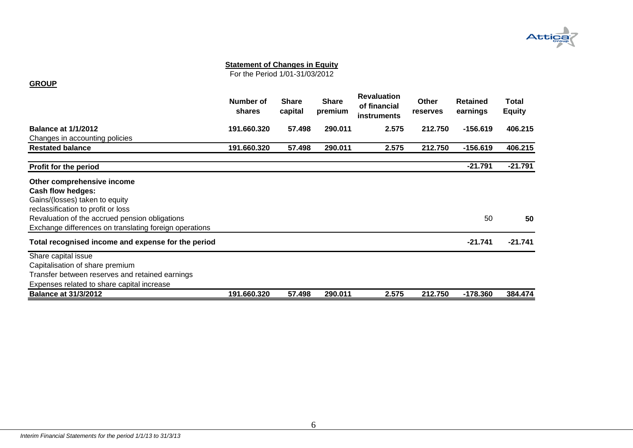

For the Period 1/01-31/03/2012

#### **GROUP**

<span id="page-6-0"></span>

|                                                        | Number of<br>shares | <b>Share</b><br>capital | <b>Share</b><br>premium | <b>Revaluation</b><br>of financial<br><b>instruments</b> | Other<br>reserves | <b>Retained</b><br>earnings | Total<br><b>Equity</b> |
|--------------------------------------------------------|---------------------|-------------------------|-------------------------|----------------------------------------------------------|-------------------|-----------------------------|------------------------|
| <b>Balance at 1/1/2012</b>                             | 191.660.320         | 57.498                  | 290.011                 | 2.575                                                    | 212.750           | $-156.619$                  | 406.215                |
| Changes in accounting policies                         |                     |                         |                         |                                                          |                   |                             |                        |
| <b>Restated balance</b>                                | 191.660.320         | 57.498                  | 290.011                 | 2.575                                                    | 212.750           | $-156.619$                  | 406.215                |
| Profit for the period                                  |                     |                         |                         |                                                          |                   | $-21.791$                   | $-21.791$              |
| Other comprehensive income                             |                     |                         |                         |                                                          |                   |                             |                        |
| Cash flow hedges:                                      |                     |                         |                         |                                                          |                   |                             |                        |
| Gains/(losses) taken to equity                         |                     |                         |                         |                                                          |                   |                             |                        |
| reclassification to profit or loss                     |                     |                         |                         |                                                          |                   |                             |                        |
| Revaluation of the accrued pension obligations         |                     |                         |                         |                                                          |                   | 50                          | 50                     |
| Exchange differences on translating foreign operations |                     |                         |                         |                                                          |                   |                             |                        |
| Total recognised income and expense for the period     |                     |                         |                         |                                                          |                   | $-21.741$                   | $-21.741$              |
| Share capital issue                                    |                     |                         |                         |                                                          |                   |                             |                        |
| Capitalisation of share premium                        |                     |                         |                         |                                                          |                   |                             |                        |
| Transfer between reserves and retained earnings        |                     |                         |                         |                                                          |                   |                             |                        |
| Expenses related to share capital increase             |                     |                         |                         |                                                          |                   |                             |                        |
| <b>Balance at 31/3/2012</b>                            | 191.660.320         | 57.498                  | 290.011                 | 2.575                                                    | 212.750           | $-178.360$                  | 384.474                |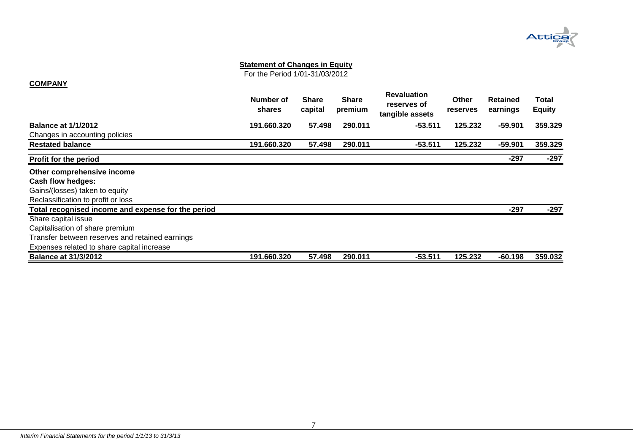

For the Period 1/01-31/03/2012

#### **COMPANY**

<span id="page-7-0"></span>

|                                                    | Number of<br>shares | <b>Share</b><br>capital | <b>Share</b><br>premium | <b>Revaluation</b><br>reserves of<br>tangible assets | Other<br>reserves | <b>Retained</b><br>earnings | Total<br><b>Equity</b> |
|----------------------------------------------------|---------------------|-------------------------|-------------------------|------------------------------------------------------|-------------------|-----------------------------|------------------------|
| <b>Balance at 1/1/2012</b>                         | 191.660.320         | 57.498                  | 290.011                 | $-53.511$                                            | 125.232           | $-59.901$                   | 359.329                |
| Changes in accounting policies                     |                     |                         |                         |                                                      |                   |                             |                        |
| <b>Restated balance</b>                            | 191.660.320         | 57.498                  | 290.011                 | $-53.511$                                            | 125.232           | -59.901                     | 359.329                |
| Profit for the period                              |                     |                         |                         |                                                      |                   | -297                        | $-297$                 |
| Other comprehensive income                         |                     |                         |                         |                                                      |                   |                             |                        |
| Cash flow hedges:                                  |                     |                         |                         |                                                      |                   |                             |                        |
| Gains/(losses) taken to equity                     |                     |                         |                         |                                                      |                   |                             |                        |
| Reclassification to profit or loss                 |                     |                         |                         |                                                      |                   |                             |                        |
| Total recognised income and expense for the period |                     |                         |                         |                                                      |                   | $-297$                      | $-297$                 |
| Share capital issue                                |                     |                         |                         |                                                      |                   |                             |                        |
| Capitalisation of share premium                    |                     |                         |                         |                                                      |                   |                             |                        |
| Transfer between reserves and retained earnings    |                     |                         |                         |                                                      |                   |                             |                        |
| Expenses related to share capital increase         |                     |                         |                         |                                                      |                   |                             |                        |
| <b>Balance at 31/3/2012</b>                        | 191.660.320         | 57.498                  | 290.011                 | $-53.511$                                            | 125.232           | $-60.198$                   | 359.032                |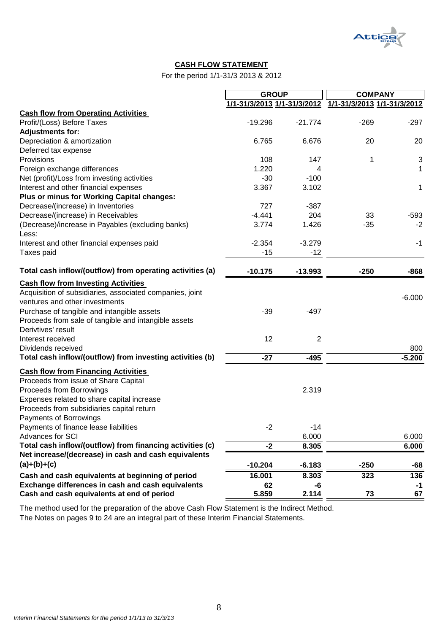

## **CASH FLOW STATEMENT**

For the period 1/1-31/3 2013 & 2012

|                                                           | <b>GROUP</b>                |                | <b>COMPANY</b>              |          |
|-----------------------------------------------------------|-----------------------------|----------------|-----------------------------|----------|
|                                                           | 1/1-31/3/2013 1/1-31/3/2012 |                | 1/1-31/3/2013 1/1-31/3/2012 |          |
| <b>Cash flow from Operating Activities</b>                |                             |                |                             |          |
| Profit/(Loss) Before Taxes                                | $-19.296$                   | $-21.774$      | $-269$                      | $-297$   |
| <b>Adjustments for:</b>                                   |                             |                |                             |          |
| Depreciation & amortization                               | 6.765                       | 6.676          | 20                          | 20       |
| Deferred tax expense                                      |                             |                |                             |          |
| Provisions                                                | 108                         | 147            | 1                           | 3        |
| Foreign exchange differences                              | 1.220                       | 4              |                             | 1        |
| Net (profit)/Loss from investing activities               | $-30$                       | $-100$         |                             |          |
| Interest and other financial expenses                     | 3.367                       | 3.102          |                             | 1        |
| Plus or minus for Working Capital changes:                |                             |                |                             |          |
| Decrease/(increase) in Inventories                        | 727                         | $-387$         |                             |          |
| Decrease/(increase) in Receivables                        | $-4.441$                    | 204            | 33                          | $-593$   |
| (Decrease)/increase in Payables (excluding banks)         | 3.774                       | 1.426          | $-35$                       | $-2$     |
| Less:<br>Interest and other financial expenses paid       | $-2.354$                    | $-3.279$       |                             | $-1$     |
| Taxes paid                                                | $-15$                       | $-12$          |                             |          |
|                                                           |                             |                |                             |          |
| Total cash inflow/(outflow) from operating activities (a) | $-10.175$                   | $-13.993$      | $-250$                      | $-868$   |
| <b>Cash flow from Investing Activities</b>                |                             |                |                             |          |
| Acquisition of subsidiaries, associated companies, joint  |                             |                |                             |          |
| ventures and other investments                            |                             |                |                             | $-6.000$ |
| Purchase of tangible and intangible assets                | $-39$                       | $-497$         |                             |          |
| Proceeds from sale of tangible and intangible assets      |                             |                |                             |          |
| Derivtives' result                                        |                             |                |                             |          |
| Interest received                                         | 12                          | $\overline{2}$ |                             |          |
| Dividends received                                        |                             |                |                             | 800      |
| Total cash inflow/(outflow) from investing activities (b) | $-27$                       | $-495$         |                             | $-5.200$ |
| <b>Cash flow from Financing Activities</b>                |                             |                |                             |          |
| Proceeds from issue of Share Capital                      |                             |                |                             |          |
| Proceeds from Borrowings                                  |                             | 2.319          |                             |          |
| Expenses related to share capital increase                |                             |                |                             |          |
| Proceeds from subsidiaries capital return                 |                             |                |                             |          |
| Payments of Borrowings                                    |                             |                |                             |          |
| Payments of finance lease liabilities                     | $-2$                        | $-14$          |                             |          |
| Advances for SCI                                          |                             | 6.000          |                             | 6.000    |
| Total cash inflow/(outflow) from financing activities (c) | $-2$                        | 8.305          |                             | 6.000    |
| Net increase/(decrease) in cash and cash equivalents      |                             |                |                             |          |
| $(a)+(b)+(c)$                                             | $-10.204$                   | $-6.183$       | $-250$                      | -68      |
| Cash and cash equivalents at beginning of period          | 16.001                      | 8.303          | 323                         | 136      |
| Exchange differences in cash and cash equivalents         | 62                          | -6             |                             | $-1$     |
| Cash and cash equivalents at end of period                | 5.859                       | 2.114          | 73                          | 67       |

<span id="page-8-0"></span>The Notes on pages 9 to 24 are an integral part of these Interim Financial Statements. The method used for the preparation of the above Cash Flow Statement is the Indirect Method.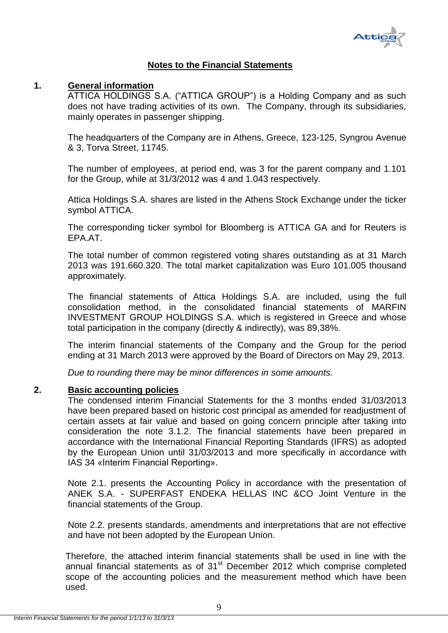

## **Notes to the Financial Statements**

## <span id="page-9-1"></span><span id="page-9-0"></span>**1. General information**

ATTICA HOLDINGS S.A. ("ATTICA GROUP") is a Holding Company and as such does not have trading activities of its own. The Company, through its subsidiaries, mainly operates in passenger shipping.

The headquarters of the Company are in Athens, Greece, 123-125, Syngrou Avenue & 3, Torva Street, 11745.

The number of employees, at period end, was 3 for the parent company and 1.101 for the Group, while at 31/3/2012 was 4 and 1.043 respectively.

Attica Holdings S.A. shares are listed in the Athens Stock Exchange under the ticker symbol ATTICA.

The corresponding ticker symbol for Bloomberg is ATTICA GA and for Reuters is EPA.AT.

The total number of common registered voting shares outstanding as at 31 March 2013 was 191.660.320. The total market capitalization was Euro 101.005 thousand approximately.

The financial statements of Attica Holdings S.A. are included, using the full consolidation method, in the consolidated financial statements of MARFIN INVESTMENT GROUP HOLDINGS S.A. which is registered in Greece and whose total participation in the company (directly & indirectly), was 89,38%.

The interim financial statements of the Company and the Group for the period ending at 31 March 2013 were approved by the Board of Directors on May 29, 2013.

*Due to rounding there may be minor differences in some amounts.*

### <span id="page-9-2"></span>**2. Basic accounting policies**

The condensed interim Financial Statements for the 3 months ended 31/03/2013 have been prepared based on historic cost principal as amended for readjustment of certain assets at fair value and based on going concern principle after taking into consideration the note 3.1.2. The financial statements have been prepared in accordance with the International Financial Reporting Standards (IFRS) as adopted by the European Union until 31/03/2013 and more specifically in accordance with IAS 34 «Interim Financial Reporting».

Note 2.1. presents the Accounting Policy in accordance with the presentation of ANEK S.A. - SUPERFAST ENDEKA HELLAS INC &CO Joint Venture in the financial statements of the Group.

Note 2.2. presents standards, amendments and interpretations that are not effective and have not been adopted by the European Union.

Therefore, the attached interim financial statements shall be used in line with the annual financial statements as of  $31<sup>st</sup>$  December 2012 which comprise completed scope of the accounting policies and the measurement method which have been used.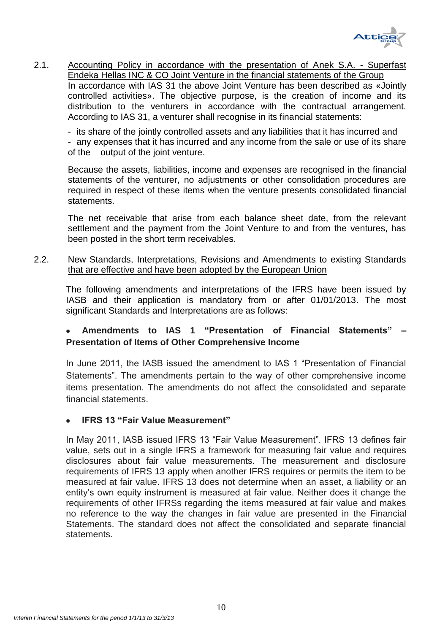

<span id="page-10-0"></span>2.1. Accounting Policy in accordance with the presentation of Anek S.A. - Superfast Endeka Hellas INC & CO Joint Venture in the financial statements of the Group In accordance with IAS 31 the above Joint Venture has been described as «Jointly controlled activities». The objective purpose, is the creation of income and its distribution to the venturers in accordance with the contractual arrangement. According to IAS 31, a venturer shall recognise in its financial statements:

- its share of the jointly controlled assets and any liabilities that it has incurred and - any expenses that it has incurred and any income from the sale or use of its share of the output of the joint venture.

Because the assets, liabilities, income and expenses are recognised in the financial statements of the venturer, no adjustments or other consolidation procedures are required in respect of these items when the venture presents consolidated financial statements.

The net receivable that arise from each balance sheet date, from the relevant settlement and the payment from the Joint Venture to and from the ventures, has been posted in the short term receivables.

## <span id="page-10-1"></span>2.2. New Standards, Interpretations, Revisions and Amendments to existing Standards that are effective and have been adopted by the European Union

The following amendments and interpretations of the IFRS have been issued by IASB and their application is mandatory from or after 01/01/2013. The most significant Standards and Interpretations are as follows:

## **Amendments to IAS 1 "Presentation of Financial Statements" – Presentation of Items of Other Comprehensive Income**

In June 2011, the IASB issued the amendment to IAS 1 "Presentation of Financial Statements". The amendments pertain to the way of other comprehensive income items presentation. The amendments do not affect the consolidated and separate financial statements.

## **IFRS 13 "Fair Value Measurement"**

In May 2011, IASB issued IFRS 13 "Fair Value Measurement". IFRS 13 defines fair value, sets out in a single IFRS a framework for measuring fair value and requires disclosures about fair value measurements. The measurement and disclosure requirements of IFRS 13 apply when another IFRS requires or permits the item to be measured at fair value. IFRS 13 does not determine when an asset, a liability or an entity's own equity instrument is measured at fair value. Neither does it change the requirements of other IFRSs regarding the items measured at fair value and makes no reference to the way the changes in fair value are presented in the Financial Statements. The standard does not affect the consolidated and separate financial statements.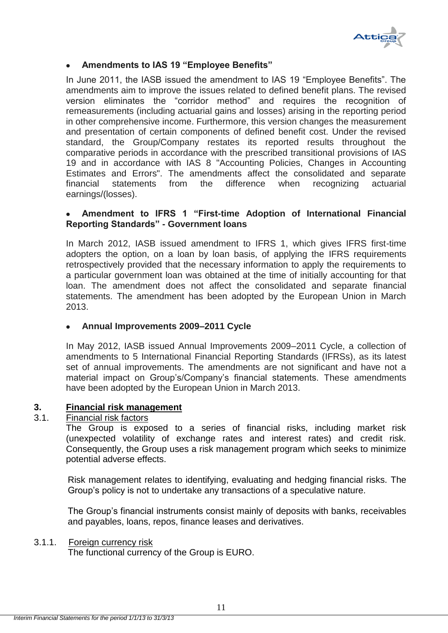

## **Amendments to IAS 19 "Employee Benefits"**

In June 2011, the IASB issued the amendment to IAS 19 "Employee Benefits". The amendments aim to improve the issues related to defined benefit plans. The revised version eliminates the "corridor method" and requires the recognition of remeasurements (including actuarial gains and losses) arising in the reporting period in other comprehensive income. Furthermore, this version changes the measurement and presentation of certain components of defined benefit cost. Under the revised standard, the Group/Company restates its reported results throughout the comparative periods in accordance with the prescribed transitional provisions of IAS 19 and in accordance with IAS 8 "Accounting Policies, Changes in Accounting Estimates and Errors". The amendments affect the consolidated and separate financial statements from the difference when recognizing actuarial earnings/(losses).

## **Amendment to IFRS 1 "First-time Adoption of International Financial Reporting Standards" - Government loans**

In March 2012, IASB issued amendment to IFRS 1, which gives IFRS first-time adopters the option, on a loan by loan basis, of applying the IFRS requirements retrospectively provided that the necessary information to apply the requirements to a particular government loan was obtained at the time of initially accounting for that loan. The amendment does not affect the consolidated and separate financial statements. The amendment has been adopted by the European Union in March 2013.

## **Annual Improvements 2009–2011 Cycle**

In May 2012, IASB issued Annual Improvements 2009–2011 Cycle, a collection of amendments to 5 International Financial Reporting Standards (IFRSs), as its latest set of annual improvements. The amendments are not significant and have not a material impact on Group's/Company's financial statements. These amendments have been adopted by the European Union in March 2013.

## <span id="page-11-0"></span>**3. Financial risk management**

### <span id="page-11-1"></span>3.1. Financial risk factors

The Group is exposed to a series of financial risks, including market risk (unexpected volatility of exchange rates and interest rates) and credit risk. Consequently, the Group uses a risk management program which seeks to minimize potential adverse effects.

Risk management relates to identifying, evaluating and hedging financial risks. The Group's policy is not to undertake any transactions of a speculative nature.

The Group's financial instruments consist mainly of deposits with banks, receivables and payables, loans, repos, finance leases and derivatives.

### <span id="page-11-2"></span>3.1.1. Foreign currency risk

The functional currency of the Group is EURO.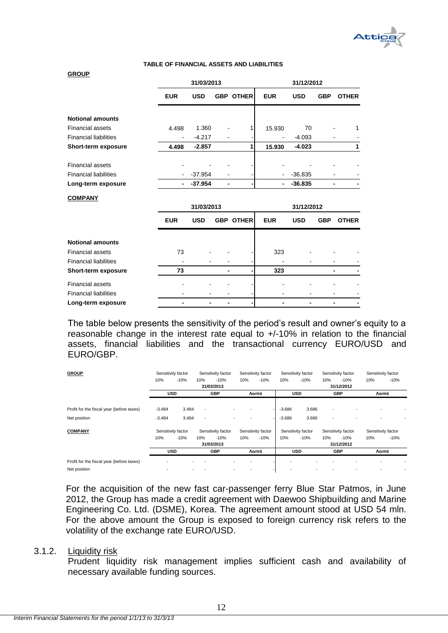

#### **TABLE OF FINANCIAL ASSETS AND LIABILITIES**

#### **GROUP**

|                              |                          | 31/03/2013 |                  | 31/12/2012 |            |            |              |  |
|------------------------------|--------------------------|------------|------------------|------------|------------|------------|--------------|--|
|                              | <b>EUR</b>               | <b>USD</b> | <b>GBP OTHER</b> | <b>EUR</b> | <b>USD</b> | <b>GBP</b> | <b>OTHER</b> |  |
| <b>Notional amounts</b>      |                          |            |                  |            |            |            |              |  |
|                              |                          |            |                  |            |            |            |              |  |
| <b>Financial assets</b>      | 4.498                    | 1.360      |                  | 15.930     | 70         |            | 1            |  |
| <b>Financial liabilities</b> |                          | $-4.217$   |                  |            | $-4.093$   |            |              |  |
| Short-term exposure          | 4.498                    | $-2.857$   |                  | 15.930     | $-4.023$   |            | 1            |  |
| <b>Financial assets</b>      |                          |            |                  |            |            |            |              |  |
| <b>Financial liabilities</b> | $\overline{\phantom{a}}$ | $-37.954$  |                  |            | $-36.835$  |            |              |  |
| Long-term exposure           | $\blacksquare$           | $-37.954$  |                  | ٠          | $-36.835$  |            |              |  |
| <b>COMPANY</b>               |                          |            |                  |            |            |            |              |  |
|                              |                          | 31/03/2013 |                  |            | 31/12/2012 |            |              |  |
|                              | <b>EUR</b>               | <b>USD</b> | <b>GBP OTHER</b> | <b>EUR</b> | <b>USD</b> | <b>GBP</b> | <b>OTHER</b> |  |
|                              |                          |            |                  |            |            |            |              |  |
| <b>Notional amounts</b>      |                          |            |                  |            |            |            |              |  |
| <b>Financial assets</b>      | 73                       |            |                  | 323        |            |            |              |  |

Financial liabilities **Short-term exposure 73 - - 323 - -** Financial assets - - - - - - - - Financial liabilities **Long-term exposure - - - - - - - -**

The table below presents the sensitivity of the period's result and owner's equity to a reasonable change in the interest rate equal to +/-10% in relation to the financial assets, financial liabilities and the transactional currency EURO/USD and EURO/GBP.

| <b>GROUP</b>                              | Sensitivity factor<br>Sensitivity factor |        | Sensitivity factor       |                    | Sensitivity factor |        | Sensitivity factor |                    | Sensitivity factor |                    |                    |        |
|-------------------------------------------|------------------------------------------|--------|--------------------------|--------------------|--------------------|--------|--------------------|--------------------|--------------------|--------------------|--------------------|--------|
|                                           | 10%                                      | $-10%$ | 10%                      | $-10%$             | 10%                | $-10%$ | 10%                | $-10%$             | 10%                | $-10%$             | 10%                | $-10%$ |
|                                           |                                          |        |                          | 31/03/2013         |                    |        |                    |                    |                    | 31/12/2012         |                    |        |
|                                           | <b>USD</b>                               |        |                          | <b>GBP</b>         |                    | Λοιπά  | <b>USD</b>         |                    | <b>GBP</b>         |                    | Λοιπά              |        |
|                                           |                                          |        |                          |                    |                    |        |                    |                    |                    |                    |                    |        |
| Profit for the fiscal year (before taxes) | $-3.484$                                 | 3.484  | ٠                        |                    |                    |        | $-3.686$           | 3.686              | ٠                  |                    |                    |        |
| Net position                              | $-3.484$                                 | 3.484  | $\overline{\phantom{a}}$ |                    |                    |        | $-3.686$           | 3.686              | ٠                  |                    |                    |        |
| <b>COMPANY</b>                            | Sensitivity factor                       |        |                          | Sensitivity factor | Sensitivity factor |        |                    | Sensitivity factor |                    | Sensitivity factor | Sensitivity factor |        |
|                                           | 10%                                      | $-10%$ | 10%                      | $-10%$             | 10%                | $-10%$ | 10%                | $-10%$             | 10%                | $-10%$             | 10%                | $-10%$ |
|                                           |                                          |        |                          | 31/03/2013         |                    |        |                    |                    |                    | 31/12/2012         |                    |        |
|                                           | <b>USD</b>                               |        | <b>GBP</b>               |                    |                    | Λοιπά  |                    | <b>USD</b>         |                    | <b>GBP</b>         | Λοιπά              |        |
| Profit for the fiscal year (before taxes) |                                          |        |                          |                    | ٠                  |        |                    |                    |                    |                    |                    |        |
| Net position                              |                                          |        |                          |                    |                    |        |                    |                    |                    |                    |                    |        |

For the acquisition of the new fast car-passenger ferry Blue Star Patmos, in June 2012, the Group has made a credit agreement with Daewoo Shipbuilding and Marine Engineering Co. Ltd. (DSME), Korea. The agreement amount stood at USD 54 mln. For the above amount the Group is exposed to foreign currency risk refers to the volatility of the exchange rate EURO/USD.

#### <span id="page-12-0"></span>3.1.2. Liquidity risk

Prudent liquidity risk management implies sufficient cash and availability of necessary available funding sources.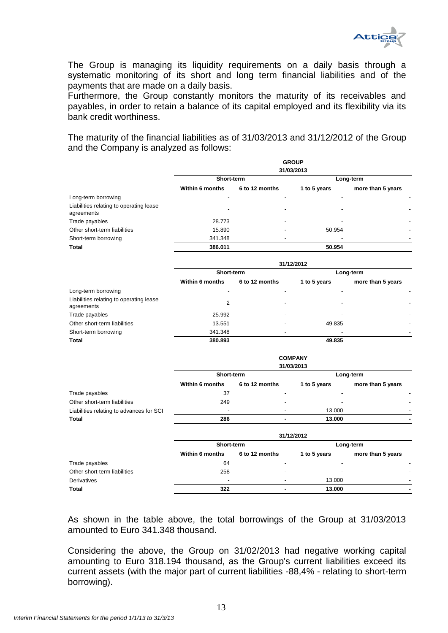

The Group is managing its liquidity requirements on a daily basis through a systematic monitoring οf its short and long term financial liabilities and of the payments that are made on a daily basis.

Furthermore, the Group constantly monitors the maturity of its receivables and payables, in order to retain a balance of its capital employed and its flexibility via its bank credit worthiness.

The maturity of the financial liabilities as of 31/03/2013 and 31/12/2012 of the Group and the Company is analyzed as follows:

|                                                       | <b>GROUP</b><br>31/03/2013 |                          |                          |                   |  |  |  |  |
|-------------------------------------------------------|----------------------------|--------------------------|--------------------------|-------------------|--|--|--|--|
|                                                       | Short-term                 |                          | Long-term                |                   |  |  |  |  |
|                                                       | <b>Within 6 months</b>     | 6 to 12 months           | 1 to 5 years             | more than 5 years |  |  |  |  |
| Long-term borrowing                                   |                            |                          |                          |                   |  |  |  |  |
| Liabilities relating to operating lease<br>agreements | $\overline{\phantom{0}}$   | $\overline{\phantom{0}}$ |                          |                   |  |  |  |  |
| Trade payables                                        | 28.773                     |                          |                          |                   |  |  |  |  |
| Other short-term liabilities                          | 15.890                     | ۰                        | 50.954                   |                   |  |  |  |  |
| Short-term borrowing                                  | 341.348                    | -                        | $\overline{\phantom{0}}$ |                   |  |  |  |  |
| <b>Total</b>                                          | 386.011                    |                          | 50.954                   |                   |  |  |  |  |

|                                                       | 31/12/2012             |                |  |                          |                   |                          |  |  |  |
|-------------------------------------------------------|------------------------|----------------|--|--------------------------|-------------------|--------------------------|--|--|--|
|                                                       | Short-term             |                |  | Long-term                |                   |                          |  |  |  |
|                                                       | <b>Within 6 months</b> | 6 to 12 months |  | 1 to 5 years             | more than 5 years |                          |  |  |  |
| Long-term borrowing                                   |                        |                |  |                          |                   |                          |  |  |  |
| Liabilities relating to operating lease<br>agreements | 2                      |                |  | $\overline{\phantom{0}}$ |                   | ٠                        |  |  |  |
| Trade payables                                        | 25.992                 | -              |  | $\overline{\phantom{a}}$ |                   | $\overline{\phantom{0}}$ |  |  |  |
| Other short-term liabilities                          | 13.551                 |                |  | 49.835                   |                   | $\overline{\phantom{0}}$ |  |  |  |
| Short-term borrowing                                  | 341.348                |                |  |                          |                   |                          |  |  |  |
| <b>Total</b>                                          | 380.893                |                |  | 49.835                   |                   |                          |  |  |  |

|                                          |                          |                | <b>COMPANY</b><br>31/03/2013 |                          |
|------------------------------------------|--------------------------|----------------|------------------------------|--------------------------|
|                                          | Short-term               | Long-term      |                              |                          |
|                                          | <b>Within 6 months</b>   | 6 to 12 months | 1 to 5 years                 | more than 5 years        |
| Trade payables                           | 37                       | -              | -                            |                          |
| Other short-term liabilities             | 249                      | -              |                              | $\overline{\phantom{a}}$ |
| Liabilities relating to advances for SCI | $\overline{\phantom{0}}$ | -              | 13.000                       |                          |
| <b>Total</b>                             | 286                      | -              | 13.000                       |                          |

|                              | 31/12/2012             |                          |                          |                          |  |  |  |
|------------------------------|------------------------|--------------------------|--------------------------|--------------------------|--|--|--|
|                              | Short-term             |                          | Long-term                |                          |  |  |  |
|                              | <b>Within 6 months</b> | 6 to 12 months           | 1 to 5 years             | more than 5 years        |  |  |  |
| Trade payables               | 64                     |                          | $\overline{\phantom{a}}$ |                          |  |  |  |
| Other short-term liabilities | 258                    | $\overline{\phantom{a}}$ | $\overline{\phantom{a}}$ | $\overline{\phantom{0}}$ |  |  |  |
| Derivatives                  |                        | -                        | 13.000                   | $\overline{\phantom{0}}$ |  |  |  |
| Total                        | 322                    |                          | 13.000                   |                          |  |  |  |

As shown in the table above, the total borrowings of the Group at 31/03/2013 amounted to Euro 341.348 thousand.

Considering the above, the Group on 31/02/2013 had negative working capital amounting to Euro 318.194 thousand, as the Group's current liabilities exceed its current assets (with the major part of current liabilities -88,4% - relating to short-term borrowing).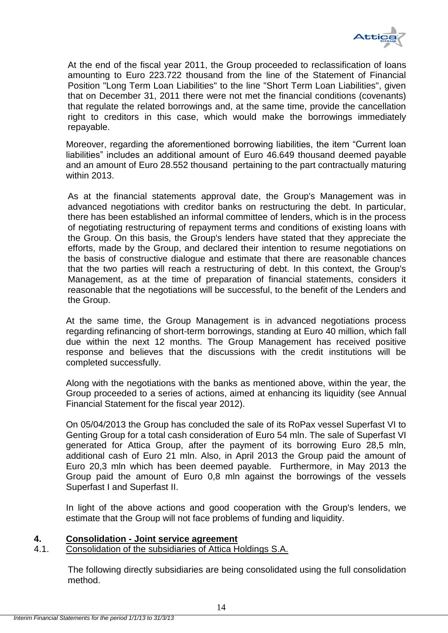

At the end of the fiscal year 2011, the Group proceeded to reclassification of loans amounting to Euro 223.722 thousand from the line of the Statement of Financial Position "Long Term Loan Liabilities" to the line "Short Term Loan Liabilities", given that on December 31, 2011 there were not met the financial conditions (covenants) that regulate the related borrowings and, at the same time, provide the cancellation right to creditors in this case, which would make the borrowings immediately repayable.

Moreover, regarding the aforementioned borrowing liabilities, the item "Current loan liabilities" includes an additional amount of Euro 46.649 thousand deemed payable and an amount of Euro 28.552 thousand pertaining to the part contractually maturing within 2013.

As at the financial statements approval date, the Group's Management was in advanced negotiations with creditor banks on restructuring the debt. In particular, there has been established an informal committee of lenders, which is in the process of negotiating restructuring of repayment terms and conditions of existing loans with the Group. On this basis, the Group's lenders have stated that they appreciate the efforts, made by the Group, and declared their intention to resume negotiations on the basis of constructive dialogue and estimate that there are reasonable chances that the two parties will reach a restructuring of debt. In this context, the Group's Management, as at the time of preparation of financial statements, considers it reasonable that the negotiations will be successful, to the benefit of the Lenders and the Group.

At the same time, the Group Management is in advanced negotiations process regarding refinancing of short-term borrowings, standing at Euro 40 million, which fall due within the next 12 months. The Group Management has received positive response and believes that the discussions with the credit institutions will be completed successfully.

Along with the negotiations with the banks as mentioned above, within the year, the Group proceeded to a series of actions, aimed at enhancing its liquidity (see Annual Financial Statement for the fiscal year 2012).

On 05/04/2013 the Group has concluded the sale of its RoPax vessel Superfast VI to Genting Group for a total cash consideration of Euro 54 mln. The sale of Superfast VI generated for Attica Group, after the payment of its borrowing Euro 28,5 mln, additional cash of Euro 21 mln. Also, in April 2013 the Group paid the amount of Euro 20,3 mln which has been deemed payable. Furthermore, in May 2013 the Group paid the amount of Euro 0,8 mln against the borrowings of the vessels Superfast I and Superfast II.

In light of the above actions and good cooperation with the Group's lenders, we estimate that the Group will not face problems of funding and liquidity.

## <span id="page-14-0"></span>**4. Consolidation - Joint service agreement**

<span id="page-14-1"></span>4.1. Consolidation of the subsidiaries of Attica Holdings S.A.

The following directly subsidiaries are being consolidated using the full consolidation method.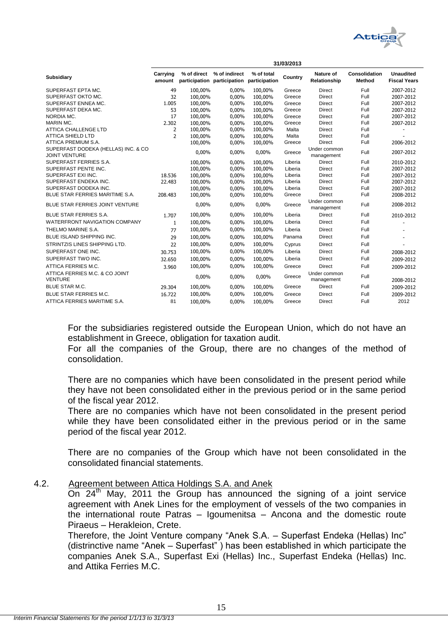

|                                                             | 31/03/2013         |                                            |               |                             |         |                            |                         |                                         |
|-------------------------------------------------------------|--------------------|--------------------------------------------|---------------|-----------------------------|---------|----------------------------|-------------------------|-----------------------------------------|
| <b>Subsidiary</b>                                           | Carrying<br>amount | % of direct<br>participation participation | % of indirect | % of total<br>participation | Country | Nature of<br>Relationship  | Consolidation<br>Method | <b>Unaudited</b><br><b>Fiscal Years</b> |
| SUPERFAST EPTA MC.                                          | 49                 | 100.00%                                    | 0.00%         | 100.00%                     | Greece  | <b>Direct</b>              | Full                    | 2007-2012                               |
| SUPERFAST OKTO MC.                                          | 32                 | 100.00%                                    | 0.00%         | 100,00%                     | Greece  | Direct                     | Full                    | 2007-2012                               |
| SUPERFAST ENNEA MC.                                         | 1.005              | 100,00%                                    | $0.00\%$      | 100,00%                     | Greece  | <b>Direct</b>              | Full                    | 2007-2012                               |
| SUPERFAST DEKA MC.                                          | 53                 | 100,00%                                    | 0,00%         | 100,00%                     | Greece  | <b>Direct</b>              | Full                    | 2007-2012                               |
| NORDIA MC.                                                  | 17                 | 100,00%                                    | $0.00\%$      | 100,00%                     | Greece  | <b>Direct</b>              | Full                    | 2007-2012                               |
| MARIN MC.                                                   | 2.302              | 100,00%                                    | 0,00%         | 100,00%                     | Greece  | <b>Direct</b>              | Full                    | 2007-2012                               |
| <b>ATTICA CHALLENGE LTD</b>                                 | 2                  | 100,00%                                    | $0.00\%$      | 100,00%                     | Malta   | <b>Direct</b>              | Full                    |                                         |
| <b>ATTICA SHIELD LTD</b>                                    | $\overline{2}$     | 100.00%                                    | $0.00\%$      | 100.00%                     | Malta   | <b>Direct</b>              | Full                    |                                         |
| ATTICA PREMIUM S.A.                                         |                    | 100,00%                                    | 0,00%         | 100,00%                     | Greece  | <b>Direct</b>              | Full                    | 2006-2012                               |
| SUPERFAST DODEKA (HELLAS) INC. & CO<br><b>JOINT VENTURE</b> |                    | 0,00%                                      | 0,00%         | 0,00%                       | Greece  | Under common<br>management | Full                    | 2007-2012                               |
| SUPERFAST FERRIES S.A.                                      |                    | 100.00%                                    | $0.00\%$      | 100.00%                     | Liberia | <b>Direct</b>              | Full                    | 2010-2012                               |
| SUPERFAST PENTE INC.                                        |                    | 100,00%                                    | 0,00%         | 100,00%                     | Liberia | <b>Direct</b>              | Full                    | 2007-2012                               |
| SUPERFAST EXI INC.                                          | 18.536             | 100,00%                                    | 0,00%         | 100,00%                     | Liberia | <b>Direct</b>              | Full                    | 2007-2012                               |
| SUPERFAST ENDEKA INC.                                       | 22.483             | 100,00%                                    | 0,00%         | 100,00%                     | Liberia | <b>Direct</b>              | Full                    | 2007-2012                               |
| SUPERFAST DODEKA INC.                                       |                    | 100,00%                                    | 0,00%         | 100,00%                     | Liberia | <b>Direct</b>              | Full                    | 2007-2012                               |
| BLUE STAR FERRIES MARITIME S.A.                             | 208.483            | 100,00%                                    | 0,00%         | 100,00%                     | Greece  | <b>Direct</b>              | Full                    | 2008-2012                               |
| BLUE STAR FERRIES JOINT VENTURE                             |                    | 0,00%                                      | 0,00%         | 0,00%                       | Greece  | Under common<br>management | Full                    | 2008-2012                               |
| <b>BLUE STAR FERRIES S.A.</b>                               | 1.707              | 100,00%                                    | 0,00%         | 100,00%                     | Liberia | <b>Direct</b>              | Full                    | 2010-2012                               |
| <b>WATERFRONT NAVIGATION COMPANY</b>                        | $\mathbf{1}$       | 100,00%                                    | 0,00%         | 100,00%                     | Liberia | <b>Direct</b>              | Full                    |                                         |
| THELMO MARINE S.A.                                          | 77                 | 100,00%                                    | 0,00%         | 100,00%                     | Liberia | <b>Direct</b>              | Full                    |                                         |
| <b>BLUE ISLAND SHIPPING INC.</b>                            | 29                 | 100,00%                                    | 0,00%         | 100,00%                     | Panama  | <b>Direct</b>              | Full                    |                                         |
| STRINTZIS LINES SHIPPING LTD.                               | 22                 | 100,00%                                    | 0,00%         | 100,00%                     | Cyprus  | <b>Direct</b>              | Full                    |                                         |
| SUPERFAST ONE INC.                                          | 30.753             | 100,00%                                    | 0.00%         | 100,00%                     | Liberia | <b>Direct</b>              | Full                    | 2008-2012                               |
| SUPERFAST TWO INC.                                          | 32.650             | 100,00%                                    | 0,00%         | 100,00%                     | Liberia | <b>Direct</b>              | Full                    | 2009-2012                               |
| ATTICA FERRIES M.C.                                         | 3.960              | 100,00%                                    | 0,00%         | 100,00%                     | Greece  | <b>Direct</b>              | Full                    | 2009-2012                               |
| ATTICA FERRIES M.C. & CO JOINT<br><b>VENTURE</b>            |                    | 0,00%                                      | 0,00%         | 0,00%                       | Greece  | Under common<br>management | Full                    | 2008-2012                               |
| BLUE STAR M.C.                                              | 29.304             | 100,00%                                    | 0,00%         | 100,00%                     | Greece  | <b>Direct</b>              | Full                    | 2009-2012                               |
| <b>BLUE STAR FERRIES M.C.</b>                               | 16.722             | 100,00%                                    | 0,00%         | 100,00%                     | Greece  | <b>Direct</b>              | Full                    | 2009-2012                               |
| ATTICA FERRIES MARITIME S.A.                                | 81                 | 100,00%                                    | 0,00%         | 100,00%                     | Greece  | <b>Direct</b>              | Full                    | 2012                                    |

For the subsidiaries registered outside the European Union, which do not have an establishment in Greece, obligation for taxation audit.

For all the companies of the Group, there are no changes of the method of consolidation.

There are no companies which have been consolidated in the present period while they have not been consolidated either in the previous period or in the same period of the fiscal year 2012.

There are no companies which have not been consolidated in the present period while they have been consolidated either in the previous period or in the same period of the fiscal year 2012.

There are no companies of the Group which have not been consolidated in the consolidated financial statements.

<span id="page-15-0"></span>4.2. Agreement between Attica Holdings S.A. and Anek

On  $24<sup>th</sup>$  May, 2011 the Group has announced the signing of a joint service agreement with Anek Lines for the employment of vessels of the two companies in the international route Patras – Igoumenitsa – Ancona and the domestic route Piraeus – Herakleion, Crete.

Therefore, the Joint Venture company "Anek S.A. – Superfast Endeka (Hellas) Inc" (distrinctive name "Anek – Superfast" ) has been established in which participate the companies Anek S.A., Superfast Exi (Hellas) Inc., Superfast Endeka (Hellas) Inc. and Attika Ferries M.C.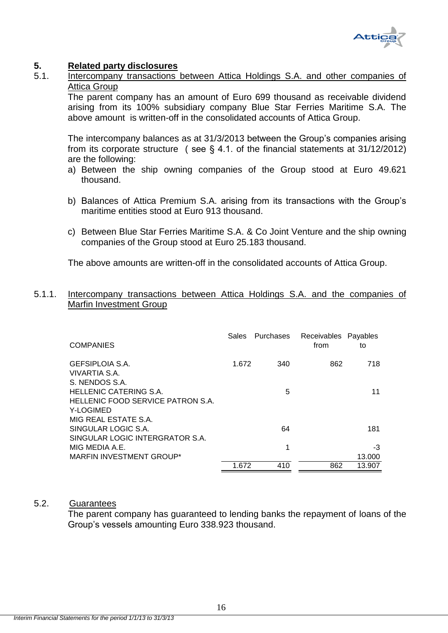

## <span id="page-16-0"></span>**5. Related party disclosures**

<span id="page-16-1"></span>5.1. Intercompany transactions between Attica Holdings S.A. and other companies of Attica Group

The parent company has an amount of Euro 699 thousand as receivable dividend arising from its 100% subsidiary company Blue Star Ferries Maritime S.A. The above amount is written-off in the consolidated accounts of Attica Group.

The intercompany balances as at 31/3/2013 between the Group's companies arising from its corporate structure ( see § 4.1. of the financial statements at 31/12/2012) are the following:

- a) Between the ship owning companies of the Group stood at Euro 49.621 thousand.
- b) Βalances of Attica Premium S.A. arising from its transactions with the Group's maritime entities stood at Euro 913 thousand.
- c) Between Blue Star Ferries Maritime S.A. & Co Joint Venture and the ship owning companies of the Group stood at Euro 25.183 thousand.

The above amounts are written-off in the consolidated accounts of Attica Group.

## <span id="page-16-2"></span>5.1.1. Intercompany transactions between Attica Holdings S.A. and the companies of Marfin Investment Group

| <b>COMPANIES</b>                                                   | Sales | <b>Purchases</b> | Receivables Payables<br>from | to     |
|--------------------------------------------------------------------|-------|------------------|------------------------------|--------|
| GEFSIPLOIA S.A.<br>VIVARTIA S.A.                                   | 1.672 | 340              | 862                          | 718    |
| S. NENDOS S.A.                                                     |       |                  |                              |        |
| <b>HELLENIC CATERING S.A.</b><br>HELLENIC FOOD SERVICE PATRON S.A. |       | 5                |                              | 11     |
| Y-LOGIMED                                                          |       |                  |                              |        |
| MIG REAL ESTATE S.A.                                               |       |                  |                              |        |
| SINGULAR LOGIC S.A.                                                |       | 64               |                              | 181    |
| SINGULAR LOGIC INTERGRATOR S.A.                                    |       |                  |                              |        |
| MIG MEDIA A.E.                                                     |       | 1                |                              | -3     |
| MARFIN INVESTMENT GROUP*                                           |       |                  |                              | 13.000 |
|                                                                    | 1.672 | 410              | 862                          | 13.907 |

### <span id="page-16-3"></span>5.2. Guarantees

The parent company has guaranteed to lending banks the repayment of loans of the Group's vessels amounting Euro 338.923 thousand.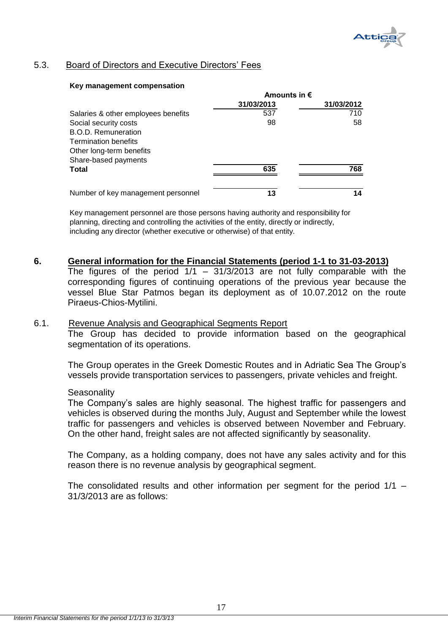

## <span id="page-17-0"></span>5.3. Board of Directors and Executive Directors' Fees

#### **Key management compensation**

|                                     | Amounts in $\epsilon$ |            |  |
|-------------------------------------|-----------------------|------------|--|
|                                     | 31/03/2013            | 31/03/2012 |  |
| Salaries & other employees benefits | 537                   | 710        |  |
| Social security costs               | 98                    | 58         |  |
| <b>B.O.D. Remuneration</b>          |                       |            |  |
| <b>Termination benefits</b>         |                       |            |  |
| Other long-term benefits            |                       |            |  |
| Share-based payments                |                       |            |  |
| Total                               | 635                   | 768        |  |
|                                     |                       |            |  |
| Number of key management personnel  | 13                    | 14         |  |

Key management personnel are those persons having authority and responsibility for planning, directing and controlling the activities of the entity, directly or indirectly, including any director (whether executive or otherwise) of that entity.

### <span id="page-17-1"></span>**6. General information for the Financial Statements (period 1-1 to 31-03-2013)**

The figures of the period  $1/1 - 31/3/2013$  are not fully comparable with the corresponding figures of continuing operations of the previous year because the vessel Blue Star Patmos began its deployment as of 10.07.2012 on the route Piraeus-Chios-Mytilini.

#### <span id="page-17-2"></span>6.1. Revenue Analysis and Geographical Segments Report

The Group has decided to provide information based on the geographical segmentation of its operations.

The Group operates in the Greek Domestic Routes and in Adriatic Sea The Group's vessels provide transportation services to passengers, private vehicles and freight.

#### **Seasonality**

The Company's sales are highly seasonal. The highest traffic for passengers and vehicles is observed during the months July, August and September while the lowest traffic for passengers and vehicles is observed between November and February. On the other hand, freight sales are not affected significantly by seasonality.

The Company, as a holding company, does not have any sales activity and for this reason there is no revenue analysis by geographical segment.

The consolidated results and other information per segment for the period 1/1 – 31/3/2013 are as follows: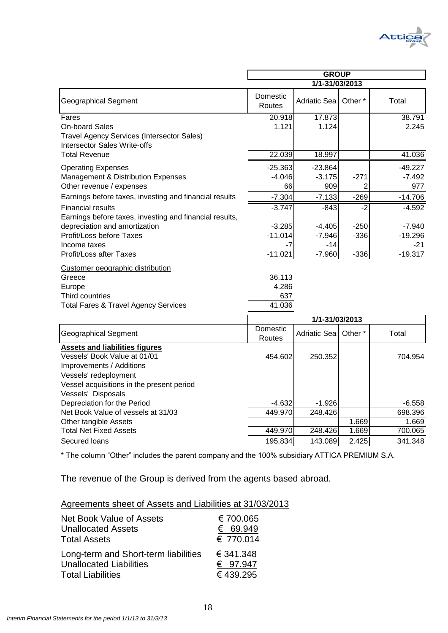

|                                                                                   | <b>GROUP</b><br>1/1-31/03/2013 |                |                    |           |  |
|-----------------------------------------------------------------------------------|--------------------------------|----------------|--------------------|-----------|--|
| <b>Geographical Segment</b>                                                       | Domestic<br>Routes             | Adriatic Sea   | Other <sup>*</sup> | Total     |  |
| Fares                                                                             | 20.918                         | 17.873         |                    | 38.791    |  |
| <b>On-board Sales</b>                                                             | 1.121                          | 1.124          |                    | 2.245     |  |
| Travel Agency Services (Intersector Sales)<br><b>Intersector Sales Write-offs</b> |                                |                |                    |           |  |
| <b>Total Revenue</b>                                                              | 22.039                         | 18.997         |                    | 41.036    |  |
| <b>Operating Expenses</b>                                                         | $-25.363$                      | $-23.864$      |                    | $-49.227$ |  |
| <b>Management &amp; Distribution Expenses</b>                                     | $-4.046$                       | $-3.175$       | $-271$             | $-7.492$  |  |
| Other revenue / expenses                                                          | 66                             | 909            | 2                  | 977       |  |
| Earnings before taxes, investing and financial results                            | $-7.304$                       | $-7.133$       | $-269$             | $-14.706$ |  |
| <b>Financial results</b>                                                          | $-3.747$                       | $-843$         | $-2$               | $-4.592$  |  |
| Earnings before taxes, investing and financial results,                           |                                |                |                    |           |  |
| depreciation and amortization                                                     | $-3.285$                       | $-4.405$       | $-250$             | $-7.940$  |  |
| Profit/Loss before Taxes                                                          | $-11.014$                      | $-7.946$       | $-336$             | $-19.296$ |  |
| Income taxes                                                                      | $-7$                           | $-14$          |                    | $-21$     |  |
| Profit/Loss after Taxes                                                           | $-11.021$                      | $-7.960$       | $-336$             | $-19.317$ |  |
| Customer geographic distribution                                                  |                                |                |                    |           |  |
| Greece                                                                            | 36.113                         |                |                    |           |  |
| Europe                                                                            | 4.286                          |                |                    |           |  |
| Third countries                                                                   | 637                            |                |                    |           |  |
| <b>Total Fares &amp; Travel Agency Services</b>                                   | 41.036                         |                |                    |           |  |
|                                                                                   |                                | 1/1-31/03/2013 |                    |           |  |
| <b>Geographical Segment</b>                                                       | Domestic                       | Adriatic Sea   | Other <sup>*</sup> | Total     |  |
|                                                                                   | Routes                         |                |                    |           |  |
| <b>Assets and liabilities figures</b><br>Vessels' Book Value at 01/01             |                                |                |                    |           |  |
| Improvements / Additions                                                          | 454.6021                       | 250.352        |                    | 704.954   |  |
| Vessels' redeployment                                                             |                                |                |                    |           |  |
| Vessel acquisitions in the present period                                         |                                |                |                    |           |  |
| Vessels' Disposals                                                                |                                |                |                    |           |  |
| Depreciation for the Period                                                       | $-4.632$                       | $-1.926$       |                    | $-6.558$  |  |
| Net Book Value of vessels at 31/03                                                | 449.970                        | 248.426        |                    | 698.396   |  |
| Other tangible Assets                                                             |                                |                | 1.669              | 1.669     |  |
| <b>Total Net Fixed Assets</b>                                                     | 449.970                        | 248.426        | 1.669              | 700.065   |  |

\* The column "Other" includes the parent company and the 100% subsidiary ATTICA PREMIUM S.A.

Secured loans 195.834 143.089 2.425 341.348

The revenue of the Group is derived from the agents based abroad.

| Net Book Value of Assets             | €700.065  |
|--------------------------------------|-----------|
| <b>Unallocated Assets</b>            | € 69.949  |
| <b>Total Assets</b>                  | € 770.014 |
| Long-term and Short-term liabilities | € 341.348 |
| <b>Unallocated Liabilities</b>       | € 97.947  |
| <b>Total Liabilities</b>             | €439.295  |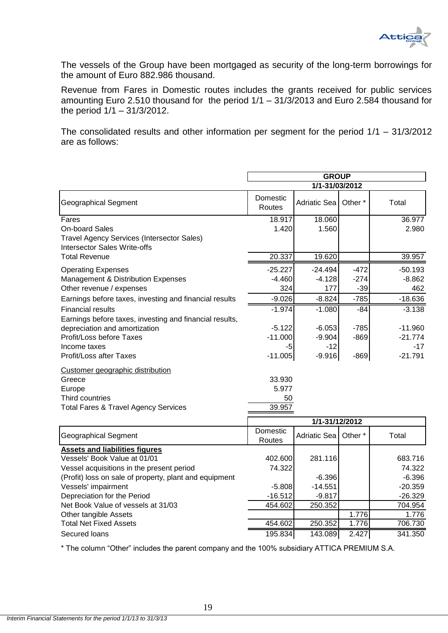

The vessels of the Group have been mortgaged as security of the long-term borrowings for the amount of Euro 882.986 thousand.

Revenue from Fares in Domestic routes includes the grants received for public services amounting Euro 2.510 thousand for the period 1/1 – 31/3/2013 and Euro 2.584 thousand for the period 1/1 – 31/3/2012.

The consolidated results and other information per segment for the period 1/1 – 31/3/2012 are as follows:

|                                                                                                                            | <b>GROUP</b>                    |                       |                    |                        |  |
|----------------------------------------------------------------------------------------------------------------------------|---------------------------------|-----------------------|--------------------|------------------------|--|
|                                                                                                                            |                                 | 1/1-31/03/2012        |                    |                        |  |
| <b>Geographical Segment</b>                                                                                                | Domestic<br>Routes              | Adriatic Sea          | Other <sup>*</sup> | Total                  |  |
| Fares<br><b>On-board Sales</b><br><b>Travel Agency Services (Intersector Sales)</b>                                        | 18.917<br>1.420                 | 18.060<br>1.560       |                    | 36.977<br>2.980        |  |
| <b>Intersector Sales Write-offs</b><br><b>Total Revenue</b>                                                                | 20.337                          | 19.620                |                    | 39.957                 |  |
| <b>Operating Expenses</b><br>Management & Distribution Expenses                                                            | $-25.227$<br>$-4.460$           | $-24.494$<br>$-4.128$ | $-472$<br>$-274$   | $-50.193$<br>$-8.862$  |  |
| Other revenue / expenses                                                                                                   | 324                             | 177                   | $-39$              | 462                    |  |
| Earnings before taxes, investing and financial results                                                                     | $-9.026$                        | $-8.824$              | $-785$             | $-18.636$              |  |
| <b>Financial results</b><br>Earnings before taxes, investing and financial results,                                        | $-1.974$                        | $-1.080$              | $-84$              | $-3.138$               |  |
| depreciation and amortization<br>Profit/Loss before Taxes                                                                  | $-5.122$<br>$-11.000$           | $-6.053$<br>$-9.904$  | $-785$<br>$-869$   | $-11.960$<br>$-21.774$ |  |
| Income taxes<br><b>Profit/Loss after Taxes</b>                                                                             | $-5$<br>$-11.005$               | $-12$<br>$-9.916$     | $-869$             | $-17$<br>$-21.791$     |  |
| Customer geographic distribution<br>Greece<br>Europe<br>Third countries<br><b>Total Fares &amp; Travel Agency Services</b> | 33.930<br>5.977<br>50<br>39.957 |                       |                    |                        |  |
|                                                                                                                            |                                 | 1/1-31/12/2012        |                    |                        |  |
| <b>Geographical Segment</b>                                                                                                | Domestic<br>Routes              | Adriatic Sea          | Other <sup>*</sup> | Total                  |  |
| <b>Assets and liabilities figures</b><br>Vessels' Book Value at 01/01<br>Vessel acquisitions in the present period         | 402.600<br>74.322               | 281.116               |                    | 683.716<br>74.322      |  |
| (Profit) loss on sale of property, plant and equipment                                                                     |                                 | $-6.396$              |                    | $-6.396$               |  |
| Vessels' impairment                                                                                                        | $-5.808$                        | $-14.551$             |                    | $-20.359$              |  |
| Depreciation for the Period<br>Net Book Value of vessels at 31/03                                                          | $-16.512$<br>454.602            | $-9.817$<br>250.352   |                    | $-26.329$<br>704.954   |  |
| Other tangible Assets                                                                                                      |                                 |                       | 1.776              | 1.776                  |  |
| <b>Total Net Fixed Assets</b>                                                                                              | 454.602                         | 250.352               | 1.776              | 706.730                |  |
| Secured loans                                                                                                              | 195.834                         | 143.089               | 2.427              | 341.350                |  |

\* The column "Other" includes the parent company and the 100% subsidiary ATTICA PREMIUM S.A.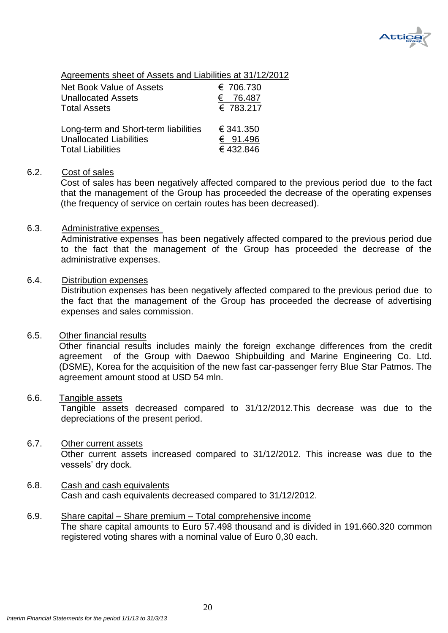

Agreements sheet of Assets and Liabilities at 31/12/2012

| Net Book Value of Assets<br><b>Unallocated Assets</b><br><b>Total Assets</b> | € 706.730<br>76.487<br>€<br>€ 783.217 |
|------------------------------------------------------------------------------|---------------------------------------|
| Long-term and Short-term liabilities                                         | € 341.350                             |
| <b>Unallocated Liabilities</b>                                               | € 91.496                              |
| <b>Total Liabilities</b>                                                     | €432.846                              |

## <span id="page-20-0"></span>6.2. Cost of sales

Cost of sales has been negatively affected compared to the previous period due to the fact that the management of the Group has proceeded the decrease of the operating expenses (the frequency of service on certain routes has been decreased).

### <span id="page-20-1"></span>6.3. Administrative expenses

Administrative expenses has been negatively affected compared to the previous period due to the fact that the management of the Group has proceeded the decrease of the administrative expenses.

### <span id="page-20-2"></span>6.4. Distribution expenses

Distribution expenses has been negatively affected compared to the previous period due to the fact that the management of the Group has proceeded the decrease of advertising expenses and sales commission.

## <span id="page-20-3"></span>6.5. Other financial results

Other financial results includes mainly the foreign exchange differences from the credit agreement of the Group with Daewoo Shipbuilding and Marine Engineering Co. Ltd. (DSME), Korea for the acquisition of the new fast car-passenger ferry Blue Star Patmos. The agreement amount stood at USD 54 mln.

## <span id="page-20-4"></span>6.6. Tangible assets

Tangible assets decreased compared to 31/12/2012.This decrease was due to the depreciations of the present period.

## <span id="page-20-5"></span>6.7. Other current assets

Other current assets increased compared to 31/12/2012. This increase was due to the vessels' dry dock.

- <span id="page-20-6"></span>6.8. Cash and cash equivalents Cash and cash equivalents decreased compared to 31/12/2012.
- <span id="page-20-7"></span>6.9. Share capital – Share premium – Total comprehensive income The share capital amounts to Euro 57.498 thousand and is divided in 191.660.320 common registered voting shares with a nominal value of Euro 0,30 each.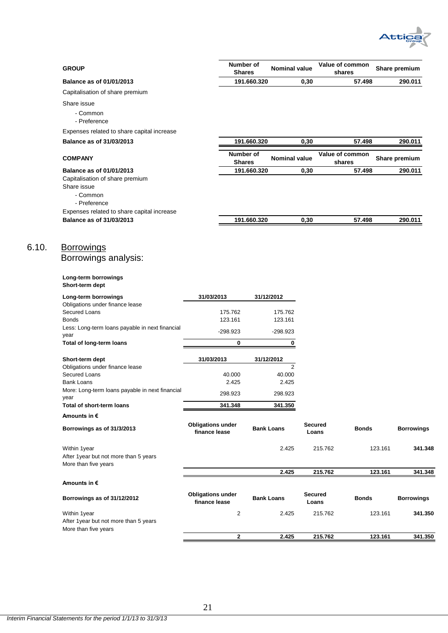

| <b>GROUP</b>                                                                                                  |                                           | Number of<br><b>Shares</b> | <b>Nominal value</b> |                         | Value of common<br>shares |         | Share premium     |
|---------------------------------------------------------------------------------------------------------------|-------------------------------------------|----------------------------|----------------------|-------------------------|---------------------------|---------|-------------------|
| <b>Balance as of 01/01/2013</b>                                                                               |                                           | 191.660.320                |                      | 0,30                    | 57.498                    |         | 290.011           |
| Capitalisation of share premium                                                                               |                                           |                            |                      |                         |                           |         |                   |
| Share issue<br>- Common<br>- Preference                                                                       |                                           |                            |                      |                         |                           |         |                   |
| Expenses related to share capital increase                                                                    |                                           |                            |                      |                         |                           |         |                   |
| <b>Balance as of 31/03/2013</b>                                                                               |                                           | 191.660.320                |                      | 0,30                    | 57.498                    |         | 290.011           |
| <b>COMPANY</b>                                                                                                |                                           | Number of<br><b>Shares</b> | <b>Nominal value</b> |                         | Value of common<br>shares |         | Share premium     |
| <b>Balance as of 01/01/2013</b><br>Capitalisation of share premium<br>Share issue<br>- Common<br>- Preference |                                           | 191.660.320                |                      | 0,30                    | 57.498                    |         | 290.011           |
| Expenses related to share capital increase<br><b>Balance as of 31/03/2013</b>                                 |                                           | 191.660.320                |                      | 0,30                    | 57.498                    |         | 290.011           |
| <u>Borrowings</u><br>Borrowings analysis:                                                                     |                                           |                            |                      |                         |                           |         |                   |
| Long-term borrowings<br>Short-term dept                                                                       |                                           |                            |                      |                         |                           |         |                   |
| Long-term borrowings                                                                                          | 31/03/2013                                |                            | 31/12/2012           |                         |                           |         |                   |
| Obligations under finance lease<br>Secured Loans<br><b>Bonds</b>                                              | 175.762<br>123.161                        |                            | 175.762<br>123.161   |                         |                           |         |                   |
| Less: Long-term loans payable in next financial                                                               | -298.923                                  |                            | $-298.923$           |                         |                           |         |                   |
| year<br>Total of long-term loans                                                                              |                                           | 0                          | 0                    |                         |                           |         |                   |
| Short-term dept                                                                                               | 31/03/2013                                |                            | 31/12/2012           |                         |                           |         |                   |
| Obligations under finance lease                                                                               |                                           |                            | 2                    |                         |                           |         |                   |
| Secured Loans<br><b>Bank Loans</b>                                                                            |                                           | 40.000<br>2.425            | 40.000<br>2.425      |                         |                           |         |                   |
| More: Long-term loans payable in next financial                                                               | 298.923                                   |                            | 298.923              |                         |                           |         |                   |
| year                                                                                                          |                                           |                            |                      |                         |                           |         |                   |
| <b>Total of short-term loans</b><br>Amounts in €                                                              | 341.348                                   |                            | 341.350              |                         |                           |         |                   |
| Borrowings as of 31/3/2013                                                                                    | <b>Obligations under</b><br>finance lease |                            | <b>Bank Loans</b>    | <b>Secured</b><br>Loans | <b>Bonds</b>              |         | <b>Borrowings</b> |
| Within 1year<br>After 1year but not more than 5 years<br>More than five years                                 |                                           |                            | 2.425                |                         | 215.762                   | 123.161 | 341.348           |
|                                                                                                               |                                           |                            | 2.425                |                         | 215.762                   | 123.161 | 341.348           |
| Amounts in €<br>Borrowings as of 31/12/2012                                                                   | <b>Obligations under</b><br>finance lease |                            | <b>Bank Loans</b>    | Secured<br>Loans        | <b>Bonds</b>              |         | <b>Borrowings</b> |
| Within 1year<br>After 1year but not more than 5 years                                                         |                                           | 2                          | 2.425                |                         | 215.762                   | 123.161 | 341.350           |
| More than five years                                                                                          |                                           | $\mathbf{2}$               | 2.425                |                         | 215.762                   | 123.161 | 341.350           |

<span id="page-21-0"></span> $6.10.$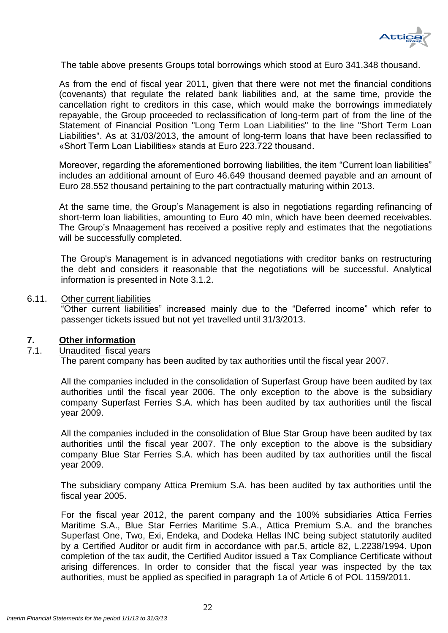

The table above presents Groups total borrowings which stood at Euro 341.348 thousand.

As from the end of fiscal year 2011, given that there were not met the financial conditions (covenants) that regulate the related bank liabilities and, at the same time, provide the cancellation right to creditors in this case, which would make the borrowings immediately repayable, the Group proceeded to reclassification of long-term part of from the line of the Statement of Financial Position "Long Term Loan Liabilities" to the line "Short Term Loan Liabilities". As at 31/03/2013, the amount of long-term loans that have been reclassified to «Short Term Loan Liabilities» stands at Euro 223.722 thousand.

Moreover, regarding the aforementioned borrowing liabilities, the item "Current loan liabilities" includes an additional amount of Euro 46.649 thousand deemed payable and an amount of Euro 28.552 thousand pertaining to the part contractually maturing within 2013.

At the same time, the Group's Management is also in negotiations regarding refinancing of short-term loan liabilities, amounting to Euro 40 mln, which have been deemed receivables. The Group's Mnaagement has received a positive reply and estimates that the negotiations will be successfully completed.

The Group's Management is in advanced negotiations with creditor banks on restructuring the debt and considers it reasonable that the negotiations will be successful. Analytical information is presented in Note 3.1.2.

### <span id="page-22-0"></span>6.11. Other current liabilities

"Other current liabilities" increased mainly due to the "Deferred income" which refer to passenger tickets issued but not yet travelled until 31/3/2013.

### <span id="page-22-1"></span>**7. Other information**

### <span id="page-22-2"></span>7.1. Unaudited fiscal years

The parent company has been audited by tax authorities until the fiscal year 2007.

All the companies included in the consolidation of Superfast Group have been audited by tax authorities until the fiscal year 2006. The only exception to the above is the subsidiary company Superfast Ferries S.A. which has been audited by tax authorities until the fiscal year 2009.

All the companies included in the consolidation of Blue Star Group have been audited by tax authorities until the fiscal year 2007. The only exception to the above is the subsidiary company Blue Star Ferries S.A. which has been audited by tax authorities until the fiscal year 2009.

The subsidiary company Attica Premium S.A. has been audited by tax authorities until the fiscal year 2005.

For the fiscal year 2012, the parent company and the 100% subsidiaries Attica Ferries Maritime S.A., Blue Star Ferries Maritime S.A., Attica Premium S.A. and the branches Superfast One, Two, Exi, Endeka, and Dodeka Hellas INC being subject statutorily audited by a Certified Auditor or audit firm in accordance with par.5, article 82, L.2238/1994. Upon completion of the tax audit, the Certified Auditor issued a Tax Compliance Certificate without arising differences. In order to consider that the fiscal year was inspected by the tax authorities, must be applied as specified in paragraph 1a of Article 6 of POL 1159/2011.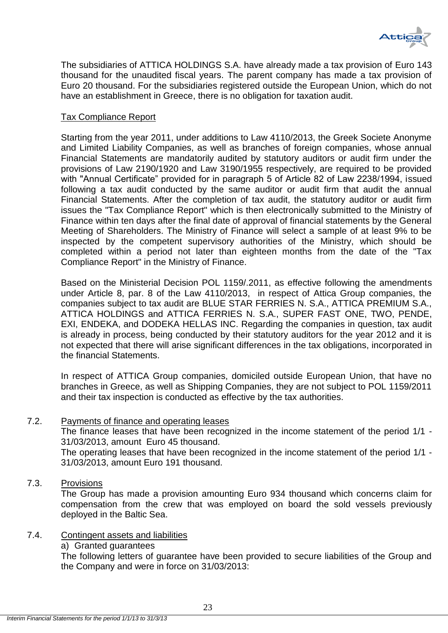

The subsidiaries of ATTICA HOLDINGS S.A. have already made a tax provision of Euro 143 thousand for the unaudited fiscal years. The parent company has made a tax provision of Euro 20 thousand. For the subsidiaries registered outside the European Union, which do not have an establishment in Greece, there is no obligation for taxation audit.

## Tax Compliance Report

Starting from the year 2011, under additions to Law 4110/2013, the Greek Societe Anonyme and Limited Liability Companies, as well as branches of foreign companies, whose annual Financial Statements are mandatorily audited by statutory auditors or audit firm under the provisions of Law 2190/1920 and Law 3190/1955 respectively, are required to be provided with "Annual Certificate" provided for in paragraph 5 of Article 82 of Law 2238/1994, issued following a tax audit conducted by the same auditor or audit firm that audit the annual Financial Statements. After the completion of tax audit, the statutory auditor or audit firm issues the "Tax Compliance Report" which is then electronically submitted to the Ministry of Finance within ten days after the final date of approval of financial statements by the General Meeting of Shareholders. The Ministry of Finance will select a sample of at least 9% to be inspected by the competent supervisory authorities of the Ministry, which should be completed within a period not later than eighteen months from the date of the "Tax Compliance Report" in the Ministry of Finance.

Based on the Ministerial Decision POL 1159/.2011, as effective following the amendments under Article 8, par. 8 of the Law 4110/2013, in respect of Attica Group companies, the companies subject to tax audit are BLUE STAR FERRIES N. S.A., ATTICA PREMIUM S.A., ATTICA HOLDINGS and ATTICA FERRIES N. S.A., SUPER FAST ONE, TWO, PENDE, EXI, ENDEKA, and DODEKA HELLAS INC. Regarding the companies in question, tax audit is already in process, being conducted by their statutory auditors for the year 2012 and it is not expected that there will arise significant differences in the tax obligations, incorporated in the financial Statements.

In respect of ATTICA Group companies, domiciled outside European Union, that have no branches in Greece, as well as Shipping Companies, they are not subject to POL 1159/2011 and their tax inspection is conducted as effective by the tax authorities.

## <span id="page-23-0"></span>7.2. Payments of finance and operating leases

The finance leases that have been recognized in the income statement of the period 1/1 - 31/03/2013, amount Euro 45 thousand.

The operating leases that have been recognized in the income statement of the period 1/1 - 31/03/2013, amount Euro 191 thousand.

<span id="page-23-1"></span>7.3. Provisions

The Group has made a provision amounting Euro 934 thousand which concerns claim for compensation from the crew that was employed on board the sold vessels previously deployed in the Baltic Sea.

## <span id="page-23-2"></span>7.4. Contingent assets and liabilities

a) Granted guarantees

The following letters of guarantee have been provided to secure liabilities of the Group and the Company and were in force on 31/03/2013: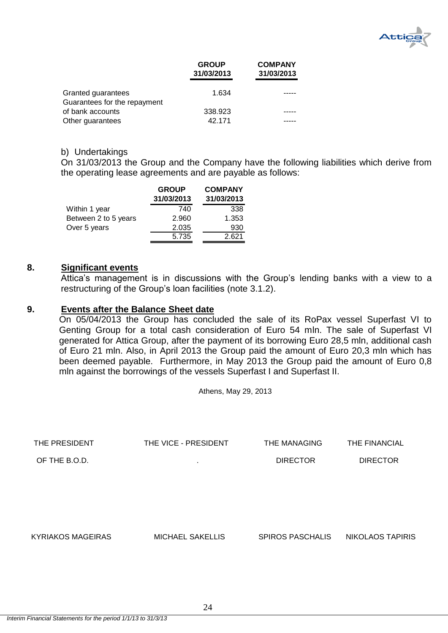

|                                                    | <b>GROUP</b><br>31/03/2013 | <b>COMPANY</b><br>31/03/2013 |
|----------------------------------------------------|----------------------------|------------------------------|
| Granted guarantees<br>Guarantees for the repayment | 1.634                      |                              |
| of bank accounts                                   | 338.923                    |                              |
| Other guarantees                                   | 42.171                     |                              |

### b) Undertakings

On 31/03/2013 the Group and the Company have the following liabilities which derive from the operating lease agreements and are payable as follows:

|                      | <b>GROUP</b><br>31/03/2013 | <b>COMPANY</b><br>31/03/2013 |
|----------------------|----------------------------|------------------------------|
| Within 1 year        | 740                        | 338                          |
| Between 2 to 5 years | 2.960                      | 1.353                        |
| Over 5 years         | 2.035                      | 930                          |
|                      | 5.735                      | 2.621                        |

#### <span id="page-24-0"></span>**8. Significant events**

Attica's management is in discussions with the Group's lending banks with a view to a restructuring of the Group's loan facilities (note 3.1.2).

## <span id="page-24-1"></span>**9. Events after the Balance Sheet date**

On 05/04/2013 the Group has concluded the sale of its RoPax vessel Superfast VI to Genting Group for a total cash consideration of Euro 54 mln. The sale of Superfast VI generated for Attica Group, after the payment of its borrowing Euro 28,5 mln, additional cash of Euro 21 mln. Also, in April 2013 the Group paid the amount of Euro 20,3 mln which has been deemed payable. Furthermore, in May 2013 the Group paid the amount of Euro 0,8 mln against the borrowings of the vessels Superfast I and Superfast II.

Athens, May 29, 2013

| THE PRESIDENT            | THE VICE - PRESIDENT    | THE MANAGING            | THE FINANCIAL           |
|--------------------------|-------------------------|-------------------------|-------------------------|
| OF THE B.O.D.            | $\mathbf{r}$            | <b>DIRECTOR</b>         | <b>DIRECTOR</b>         |
|                          |                         |                         |                         |
|                          |                         |                         |                         |
|                          |                         |                         |                         |
|                          |                         |                         |                         |
| <b>KYRIAKOS MAGEIRAS</b> | <b>MICHAEL SAKELLIS</b> | <b>SPIROS PASCHALIS</b> | <b>NIKOLAOS TAPIRIS</b> |
|                          |                         |                         |                         |